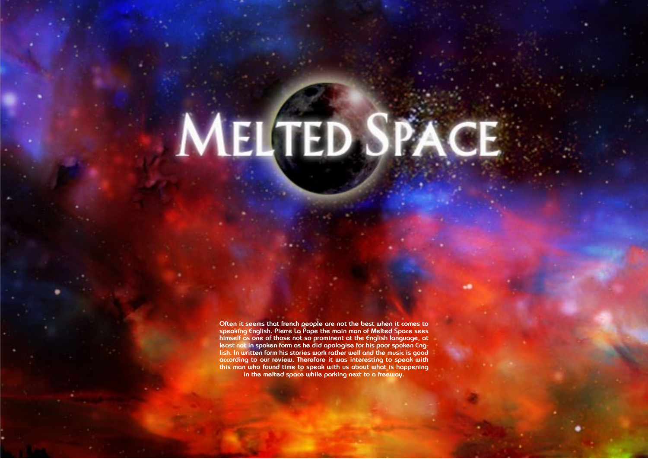## MELITED SPACE

**Often it seems that french people are not the best when it comes to speaking English. Pierre La Pape the main man of Melted Space sees himself as one of those not so prominent at the English language, at least not in spoken form as he did apologise for his poor spoken English. In written form his stories work rather well and the music is good according to our review. Therefore it was interesting to speak with this man who found time to speak with us about what is happening in the melted space while parking next to a freeway.**

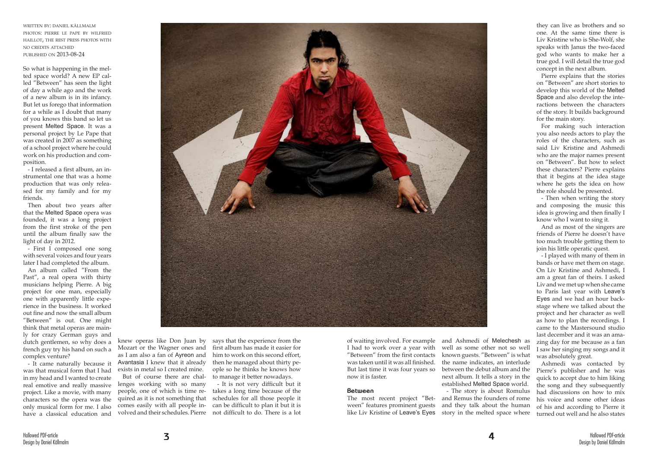written by: daniel källmalm photos: pierre le pape by wilfried haillot, the rest press photos with no credits attached published on 2013-08-24

So what is happening in the melted space world? A new EP called "Between" has seen the light of day a while ago and the work of a new album is in its infancy. But let us forego that information for a while as I doubt that many of you knows this band so let us present Melted Space. It was a personal project by Le Pape that was created in 2007 as something of a school project where he could work on his production and composition.

- First I composed one song with several voices and four years later I had completed the album.

- I released a first album, an instrumental one that was a home production that was only released for my family and for my friends.

Then about two years after that the Melted Space opera was founded, it was a long project from the first stroke of the pen until the album finally saw the light of day in 2012.

An album called "From the Past", a real opera with thirty musicians helping Pierre. A big project for one man, especially one with apparently little experience in the business. It worked out fine and now the small album "Between" is out. One might think that metal operas are mainly for crazy German guys and dutch gentlemen, so why does a french guy try his hand on such a complex venture?

- It came naturally because it was that musical form that I had in my head and I wanted to create real emotive and really massive project. Like a movie, with many characters so the opera was the only musical form for me. I also have a classical education and



knew operas like Don Juan by Mozart or the Wagner ones and as I am also a fan of Ayreon and him to work on this second effort, Avantasia I knew that it already exists in metal so I created mine.

But of course there are challenges working with so many people, one of which is time required as it is not something that comes easily with all people involved and their schedules. Pierre not difficult to do. There is a lot

says that the experience from the first album has made it easier for then he managed about thirty people so he thinks he knows how to manage it better nowadays.

- It is not very difficult but it takes a long time because of the schedules for all those people it can be difficult to plan it but it is I had to work over a year with was taken until it was all finished. But last time it was four years so now it is faster.

## **Between**

ween" features prominent guests

of waiting involved. For example and Ashmedi of Melechesh as "Between" from the first contacts known guests. "Between" is what well as some other not so well the name indicates, an interlude between the debut album and the next album. It tells a story in the established Melted Space world.

The most recent project "Bet-and Remus the founders of rome like Liv Kristine of Leave's Eyes story in the melted space where - The story is about Romulus and they talk about the human

they can live as brothers and so one. At the same time there is Liv Kristine who is She-Wolf, she speaks with Janus the two-faced god who wants to make her a true god. I will detail the true god concept in the next album.

Pierre explains that the stories on "Between" are short stories to develop this world of the Melted Space and also develop the interactions between the characters of the story. It builds background for the main story.

For making such interaction you also needs actors to play the roles of the characters, such as said Liv Kristine and Ashmedi who are the major names present on "Between". But how to select these characters? Pierre explains that it begins at the idea stage where he gets the idea on how the role should be presented.

- Then when writing the story and composing the music this idea is growing and then finally I know who I want to sing it.

And as most of the singers are friends of Pierre he doesn't have too much trouble getting them to join his little operatic quest.

- I played with many of them in bands or have met them on stage. On Liv Kristine and Ashmedi, I am a great fan of theirs. I asked Liv and we met up when she came to Paris last year with Leave's Eyes and we had an hour backstage where we talked about the project and her character as well as how to plan the recordings. I came to the Mastersound studio last december and it was an amazing day for me because as a fan I saw her singing my songs and it was absolutely great.

Ashmedi was contacted by Pierre's publisher and he was quick to accept due to him liking the song and they subsequently had discussions on how to mix his voice and some other ideas of his and according to Pierre it turned out well and he also states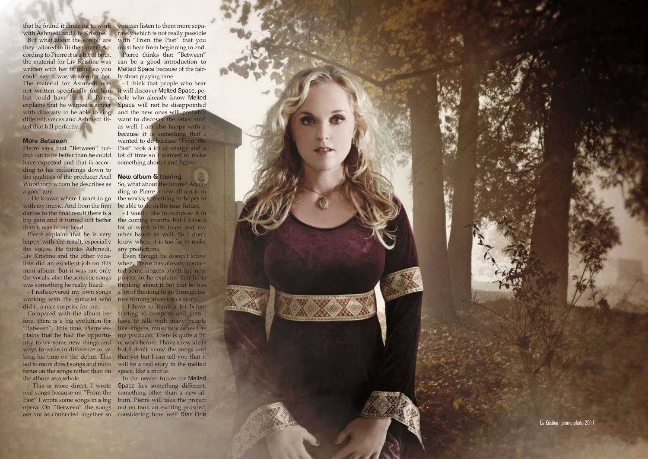that he found it amazing to work you can listen to them more sepa-

could say it was written for her. ly short playing time. The material for Ashmedi was - I think that people who hear not written specifically for him it will discover Melted Space, peted that bill perfectly.

with my music. And from the first be able to do in the near future. demos to the final result there is a big gain and it turned out better than it was in my head.

## **More Between**

ned out to be better than he could have expected and that is accor- something shorter and lighter. ding to his reckonings down to the qualities of the producer Axel Wursthorn whom he describes as a good guy.

Pierre explains that he is very happy with the result, especially the voices. He thinks Ashmedi, any predictions. Liv Kristine and the other voca lists did an excellent job on this mini album. But it was not only the vocals, also the acoustic songs was something he really liked.

- He knows where I want to go the works, something he hopes to So, what about the future? Accor ding to Pierre a new album is in

working with the guitarist who did it, a nice surprise for me.

but could have been as Pierre ople who already know Melted explains that he wanted a singer Space will not be disappointed with diversity to be able to sing and the new ones will probably different voices and Ashmedi fit- want to discover the other stuff Pierre says that "Between" tur- Past" took a lot of energy and a as well. I am also happy with it because it is something that I wanted to do because "From the lot of time so I wanted to make

focus on the songs rather than on space, like a movie. the album as a whole.

with Ashmedi and Liv Kristine. The rately which is not really possible But what about the songs? are with "From the Past" that you they tailored to fit the singer? Ac - must hear from beginning to end. cording to Pierre it is a bit of both, Pierre thinks that "Between" the material for Liv Kristine was can be a good introduction to written with her in mind so you Melted Space because of the fair-

- I rediscovered my own songs a lot of thinking to go through be - Even though he doesn't know when, Pierre has already contac ted some singers about the new project so he explains that he is thinking about it but that he has fore turning ideas into a story.

Compared with the album be - starting to compose and then I fore, there is a big evolution for have to talk with many people "Between". This time, Pierre ex - like singers, musicians as well as plains that he had the opportu - my producer. There is quite a bit nity to try some new things and of work before. I have a few ideas ways to write in difference to ta- but I don't know the songs and king his time on the debut. This that yet but I can tell you that it led to more direct songs and more will be a real story in the melted - I have to think a lot before

## **New album & touring**

- This is more direct, I wrote Space lies something different, real songs because on "From the something other than a new al - Past" I wrote some songs in a big bum. Pierre will take the project opera. On "Between" the songs out on tour, an exciting prospect are not as connected together so considering how well Star One In the nearer future for Melted

- I would like to compose it in the coming months but I have a lot of work with tours and my other bands as well. So I don't know when, it is too far to make

Liv Kristine - promo photo 2011